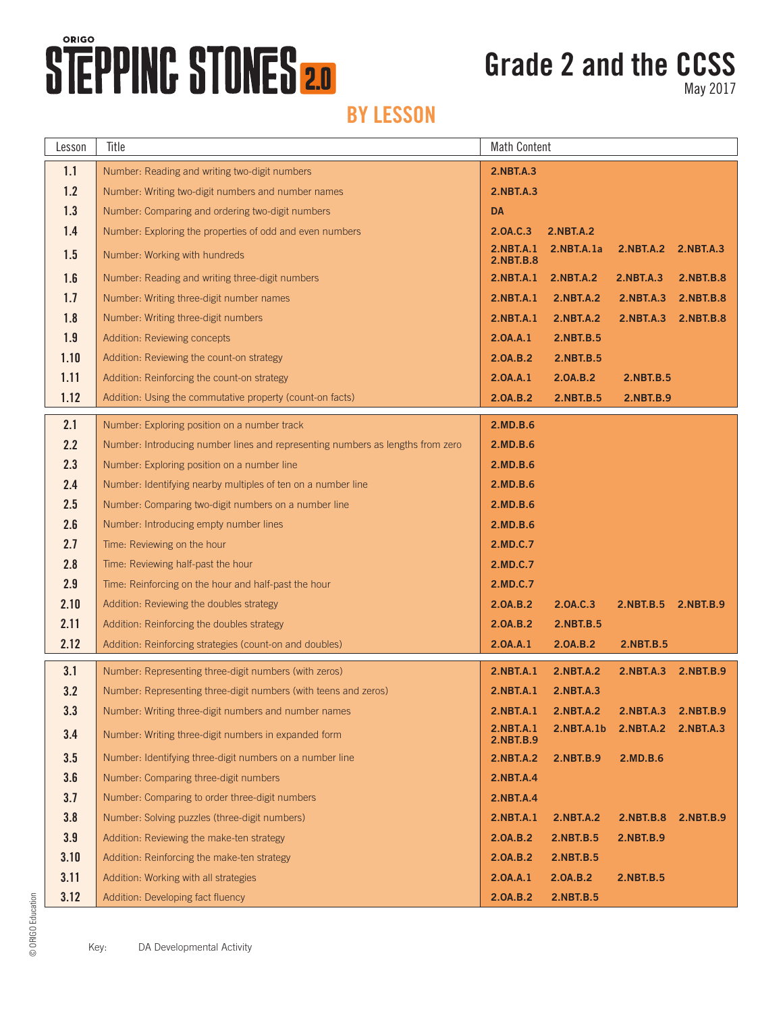## **STEPPINC STONES 2.0**

### **Grade 2 and the CCSS**

May 2017

| Lesson | Title                                                                          | <b>Math Content</b>                  |                               |                     |                  |
|--------|--------------------------------------------------------------------------------|--------------------------------------|-------------------------------|---------------------|------------------|
| 1.1    | Number: Reading and writing two-digit numbers                                  | <b>2.NBT.A.3</b>                     |                               |                     |                  |
| 1.2    | Number: Writing two-digit numbers and number names                             | <b>2.NBT.A.3</b>                     |                               |                     |                  |
| 1.3    | Number: Comparing and ordering two-digit numbers                               | <b>DA</b>                            |                               |                     |                  |
| 1.4    | Number: Exploring the properties of odd and even numbers                       | 2.0A.C.3                             | <b>2.NBT.A.2</b>              |                     |                  |
| 1.5    | Number: Working with hundreds                                                  | <b>2.NBT.A.1</b><br><b>2.NBT.B.8</b> | 2.NBT.A.1a                    | <b>2.NBT.A.2</b>    | 2.NBT.A.3        |
| 1.6    | Number: Reading and writing three-digit numbers                                | 2.NBT.A.1                            | <b>2.NBT.A.2</b>              | <b>2.NBT.A.3</b>    | <b>2.NBT.B.8</b> |
| 1.7    | Number: Writing three-digit number names                                       | 2.NBT.A.1                            | <b>2.NBT.A.2</b>              | <b>2.NBT.A.3</b>    | 2.NBT.B.8        |
| 1.8    | Number: Writing three-digit numbers                                            | <b>2.NBT.A.1</b>                     | <b>2.NBT.A.2</b>              | 2.NBT.A.3           | 2.NBT.B.8        |
| 1.9    | Addition: Reviewing concepts                                                   | 2.0A.A.1                             | 2.NBT.B.5                     |                     |                  |
| 1.10   | Addition: Reviewing the count-on strategy                                      | 2.0A.B.2                             | 2.NBT.B.5                     |                     |                  |
| 1.11   | Addition: Reinforcing the count-on strategy                                    | 2.0A.A.1                             | 2.0A.B.2                      | 2.NBT.B.5           |                  |
| 1.12   | Addition: Using the commutative property (count-on facts)                      | 2.0A.B.2                             | 2.NBT.B.5                     | 2.NBT.B.9           |                  |
| 2.1    | Number: Exploring position on a number track                                   | 2.MD.B.6                             |                               |                     |                  |
| 2.2    | Number: Introducing number lines and representing numbers as lengths from zero | 2.MD.B.6                             |                               |                     |                  |
| 2.3    | Number: Exploring position on a number line                                    | 2.MD.B.6                             |                               |                     |                  |
| 2.4    | Number: Identifying nearby multiples of ten on a number line                   | 2.MD.B.6                             |                               |                     |                  |
| 2.5    | Number: Comparing two-digit numbers on a number line                           | 2.MD.B.6                             |                               |                     |                  |
| 2.6    | Number: Introducing empty number lines                                         | 2.MD.B.6                             |                               |                     |                  |
| 2.7    | Time: Reviewing on the hour                                                    | 2.MD.C.7                             |                               |                     |                  |
| 2.8    | Time: Reviewing half-past the hour                                             | 2.MD.C.7                             |                               |                     |                  |
| 2.9    | Time: Reinforcing on the hour and half-past the hour                           | 2.MD.C.7                             |                               |                     |                  |
| 2.10   | Addition: Reviewing the doubles strategy                                       | 2.0A.B.2                             | 2.0A.C.3                      | 2.NBT.B.5 2.NBT.B.9 |                  |
| 2.11   | Addition: Reinforcing the doubles strategy                                     | 2.0A.B.2                             | 2.NBT.B.5                     |                     |                  |
| 2.12   | Addition: Reinforcing strategies (count-on and doubles)                        | 2.0A.A.1                             | 2.0A.B.2                      | 2.NBT.B.5           |                  |
| 3.1    | Number: Representing three-digit numbers (with zeros)                          | <b>2.NBT.A.1</b>                     | <b>2.NBT.A.2</b>              | <b>2.NBT.A.3</b>    | 2.NBT.B.9        |
| 3.2    | Number: Representing three-digit numbers (with teens and zeros)                | 2.NBT.A.1                            | 2.NBT.A.3                     |                     |                  |
| 3.3    | Number: Writing three-digit numbers and number names                           | 2.NBT.A.1                            | 2.NBT.A.2 2.NBT.A.3 2.NBT.B.9 |                     |                  |
| 3.4    | Number: Writing three-digit numbers in expanded form                           | 2.NBT.A.1<br>2.NBT.B.9               | 2.NBT.A.1b                    | <b>2.NBT.A.2</b>    | 2.NBT.A.3        |
| 3.5    | Number: Identifying three-digit numbers on a number line                       | <b>2.NBT.A.2</b>                     | 2.NBT.B.9                     | 2.MD.B.6            |                  |
| 3.6    | Number: Comparing three-digit numbers                                          | <b>2.NBT.A.4</b>                     |                               |                     |                  |
| 3.7    | Number: Comparing to order three-digit numbers                                 | <b>2.NBT.A.4</b>                     |                               |                     |                  |
| 3.8    | Number: Solving puzzles (three-digit numbers)                                  | <b>2.NBT.A.1</b>                     | <b>2.NBT.A.2</b>              | <b>2.NBT.B.8</b>    | 2.NBT.B.9        |
| 3.9    | Addition: Reviewing the make-ten strategy                                      | 2.0A.B.2                             | 2.NBT.B.5                     | 2.NBT.B.9           |                  |
| 3.10   | Addition: Reinforcing the make-ten strategy                                    | 2.0A.B.2                             | 2.NBT.B.5                     |                     |                  |
| 3.11   | Addition: Working with all strategies                                          | 2.0A.A.1                             | 2.0A.B.2                      | 2.NBT.B.5           |                  |
| 3.12   | Addition: Developing fact fluency                                              | 2.0A.B.2                             | 2.NBT.B.5                     |                     |                  |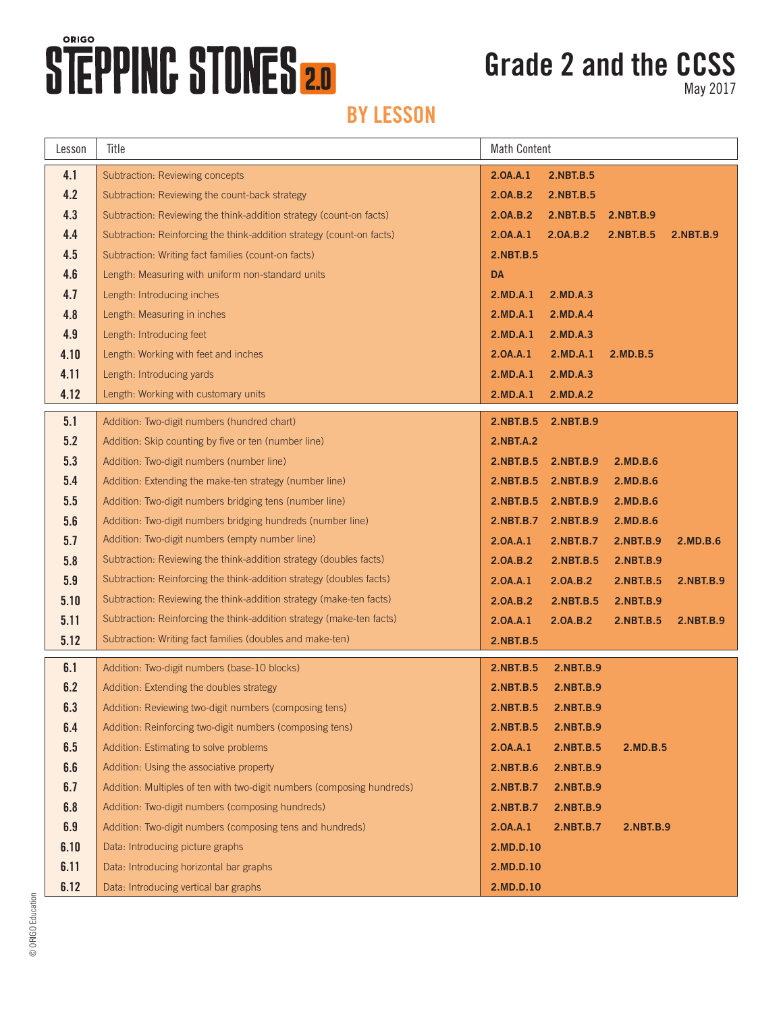# **STEPPINC STONES 2.0**

### **Grade 2 and the CCSS**

May 2017

| Lesson  | Title                                                                  | <b>Math Content</b> |                     |           |                  |
|---------|------------------------------------------------------------------------|---------------------|---------------------|-----------|------------------|
| 4.1     | Subtraction: Reviewing concepts                                        | 2.0A.A.1            | 2.NBT.B.5           |           |                  |
| 4.2     | Subtraction: Reviewing the count-back strategy                         | 2.0A.B.2            | 2.NBT.B.5           |           |                  |
| 4.3     | Subtraction: Reviewing the think-addition strategy (count-on facts)    | 2.0A.B.2            | 2.NBT.B.5           | 2.NBT.B.9 |                  |
| 4.4     | Subtraction: Reinforcing the think-addition strategy (count-on facts)  | 2.0A.A.1            | 2.0A.B.2            | 2.NBT.B.5 | <b>2.NBT.B.9</b> |
| 4.5     | Subtraction: Writing fact families (count-on facts)                    | 2.NBT.B.5           |                     |           |                  |
| 4.6     | Length: Measuring with uniform non-standard units                      | DA                  |                     |           |                  |
| 4.7     | Length: Introducing inches                                             | 2.MD.A.1            | 2.MD.A.3            |           |                  |
| 4.8     | Length: Measuring in inches                                            | 2.MD.A.1            | 2.MD.A.4            |           |                  |
| 4.9     | Length: Introducing feet                                               | 2.MD.A.1            | 2.MD.A.3            |           |                  |
| 4.10    | Length: Working with feet and inches                                   | 2.0A.A.1            | 2.MD.A.1            | 2.MD.B.5  |                  |
| 4.11    | Length: Introducing yards                                              | 2.MD.A.1            | 2.MD.A.3            |           |                  |
| 4.12    | Length: Working with customary units                                   | 2.MD.A.1            | 2.MD.A.2            |           |                  |
| 5.1     | Addition: Two-digit numbers (hundred chart)                            |                     | 2.NBT.B.5 2.NBT.B.9 |           |                  |
| 5.2     | Addition: Skip counting by five or ten (number line)                   | <b>2.NBT.A.2</b>    |                     |           |                  |
| 5.3     | Addition: Two-digit numbers (number line)                              | 2.NBT.B.5           | 2.NBT.B.9           | 2.MD.B.6  |                  |
| 5.4     | Addition: Extending the make-ten strategy (number line)                |                     | 2.NBT.B.5 2.NBT.B.9 | 2.MD.B.6  |                  |
| 5.5     | Addition: Two-digit numbers bridging tens (number line)                |                     | 2.NBT.B.5 2.NBT.B.9 | 2.MD.B.6  |                  |
| 5.6     | Addition: Two-digit numbers bridging hundreds (number line)            | 2.NBT.B.7           | 2.NBT.B.9           | 2.MD.B.6  |                  |
| 5.7     | Addition: Two-digit numbers (empty number line)                        | 2.0A.A.1            | 2.NBT.B.7           | 2.NBT.B.9 | 2.MD.B.6         |
| 5.8     | Subtraction: Reviewing the think-addition strategy (doubles facts)     | 2.0A.B.2            | 2.NBT.B.5           | 2.NBT.B.9 |                  |
| 5.9     | Subtraction: Reinforcing the think-addition strategy (doubles facts)   | 2.0A.A.1            | 2.0A.B.2            | 2.NBT.B.5 | 2.NBT.B.9        |
| 5.10    | Subtraction: Reviewing the think-addition strategy (make-ten facts)    | 2.0A.B.2            | 2.NBT.B.5           | 2.NBT.B.9 |                  |
| 5.11    | Subtraction: Reinforcing the think-addition strategy (make-ten facts)  | 2.0A.A.1            | 2.0A.B.2            | 2.NBT.B.5 | 2.NBT.B.9        |
| 5.12    | Subtraction: Writing fact families (doubles and make-ten)              | 2.NBT.B.5           |                     |           |                  |
| 6.1     | Addition: Two-digit numbers (base-10 blocks)                           | 2.NBT.B.5           | 2.NBT.B.9           |           |                  |
| 6.2     | Addition: Extending the doubles strategy                               | 2.NBT.B.5           | 2.NBT.B.9           |           |                  |
| 6.3     | Addition: Reviewing two-digit numbers (composing tens)                 | 2.NBT.B.5           | 2.NBT.B.9           |           |                  |
| 6.4     | Addition: Reinforcing two-digit numbers (composing tens)               | 2.NBT.B.5           | 2.NBT.B.9           |           |                  |
| 6.5     | Addition: Estimating to solve problems                                 | 2.0A.A.1            | 2.NBT.B.5           | 2.MD.B.5  |                  |
| $6.6\,$ | Addition: Using the associative property                               | <b>2.NBT.B.6</b>    | 2.NBT.B.9           |           |                  |
| 6.7     | Addition: Multiples of ten with two-digit numbers (composing hundreds) | 2.NBT.B.7           | 2.NBT.B.9           |           |                  |
| 6.8     | Addition: Two-digit numbers (composing hundreds)                       | 2.NBT.B.7           | 2.NBT.B.9           |           |                  |
| 6.9     | Addition: Two-digit numbers (composing tens and hundreds)              | 2.0A.A.1            | 2.NBT.B.7           | 2.NBT.B.9 |                  |
| 6.10    | Data: Introducing picture graphs                                       | 2.MD.D.10           |                     |           |                  |
| 6.11    | Data: Introducing horizontal bar graphs                                | 2.MD.D.10           |                     |           |                  |
| 6.12    | Data: Introducing vertical bar graphs                                  | 2.MD.D.10           |                     |           |                  |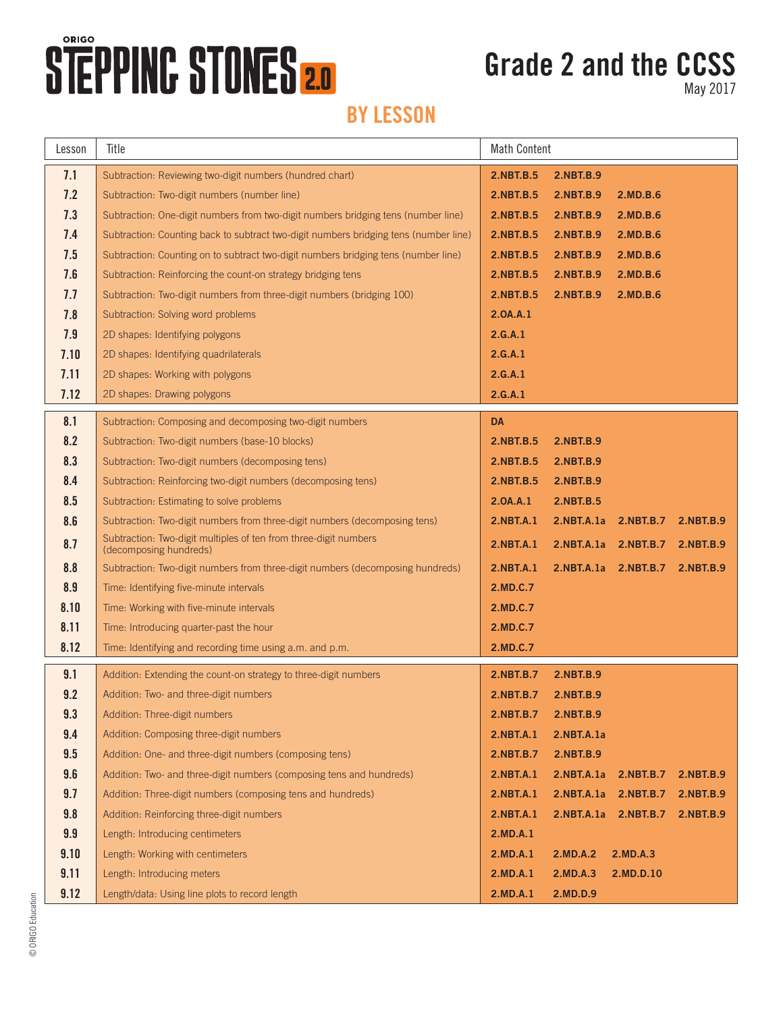# **STEPPING STONES 2.0**

### **Grade 2 and the CCSS**

May 2017

| Lesson | Title                                                                                      | <b>Math Content</b> |                  |                      |           |  |
|--------|--------------------------------------------------------------------------------------------|---------------------|------------------|----------------------|-----------|--|
| 7.1    | Subtraction: Reviewing two-digit numbers (hundred chart)                                   | 2.NBT.B.5           | 2.NBT.B.9        |                      |           |  |
| 7.2    | Subtraction: Two-digit numbers (number line)                                               | 2.NBT.B.5           | 2.NBT.B.9        | 2.MD.B.6             |           |  |
| 7.3    | Subtraction: One-digit numbers from two-digit numbers bridging tens (number line)          | 2.NBT.B.5           | 2.NBT.B.9        | 2.MD.B.6             |           |  |
| 7.4    | Subtraction: Counting back to subtract two-digit numbers bridging tens (number line)       | <b>2.NBT.B.5</b>    | <b>2.NBT.B.9</b> | 2.MD.B.6             |           |  |
| 7.5    | Subtraction: Counting on to subtract two-digit numbers bridging tens (number line)         | 2.NBT.B.5           | 2.NBT.B.9        | 2.MD.B.6             |           |  |
| 7.6    | Subtraction: Reinforcing the count-on strategy bridging tens                               | 2.NBT.B.5           | 2.NBT.B.9        | 2.MD.B.6             |           |  |
| 7.7    | Subtraction: Two-digit numbers from three-digit numbers (bridging 100)                     | 2.NBT.B.5           | 2.NBT.B.9        | 2.MD.B.6             |           |  |
| 7.8    | Subtraction: Solving word problems                                                         | 2.0A.A.1            |                  |                      |           |  |
| 7.9    | 2D shapes: Identifying polygons                                                            | 2.G.A.1             |                  |                      |           |  |
| 7.10   | 2D shapes: Identifying quadrilaterals                                                      | 2.G.A.1             |                  |                      |           |  |
| 7.11   | 2D shapes: Working with polygons                                                           | 2.G.A.1             |                  |                      |           |  |
| 7.12   | 2D shapes: Drawing polygons                                                                | 2.G.A.1             |                  |                      |           |  |
| 8.1    | Subtraction: Composing and decomposing two-digit numbers                                   | <b>DA</b>           |                  |                      |           |  |
| 8.2    | Subtraction: Two-digit numbers (base-10 blocks)                                            | 2.NBT.B.5           | 2.NBT.B.9        |                      |           |  |
| 8.3    | Subtraction: Two-digit numbers (decomposing tens)                                          | 2.NBT.B.5           | <b>2.NBT.B.9</b> |                      |           |  |
| 8.4    | Subtraction: Reinforcing two-digit numbers (decomposing tens)                              | 2.NBT.B.5           | 2.NBT.B.9        |                      |           |  |
| 8.5    | Subtraction: Estimating to solve problems                                                  | 2.0A.A.1            | 2.NBT.B.5        |                      |           |  |
| 8.6    | Subtraction: Two-digit numbers from three-digit numbers (decomposing tens)                 | 2.NBT.A.1           | 2.NBT.A.1a       | 2.NBT.B.7            | 2.NBT.B.9 |  |
| 8.7    | Subtraction: Two-digit multiples of ten from three-digit numbers<br>(decomposing hundreds) | 2.NBT.A.1           |                  | 2.NBT.A.1a 2.NBT.B.7 | 2.NBT.B.9 |  |
| 8.8    | Subtraction: Two-digit numbers from three-digit numbers (decomposing hundreds)             | 2.NBT.A.1           | 2.NBT.A.1a       | 2.NBT.B.7            | 2.NBT.B.9 |  |
| 8.9    | Time: Identifying five-minute intervals                                                    | 2.MD.C.7            |                  |                      |           |  |
| 8.10   | Time: Working with five-minute intervals                                                   | 2.MD.C.7            |                  |                      |           |  |
| 8.11   | Time: Introducing quarter-past the hour                                                    | 2.MD.C.7            |                  |                      |           |  |
| 8.12   | Time: Identifying and recording time using a.m. and p.m.                                   | 2.MD.C.7            |                  |                      |           |  |
| 9.1    | Addition: Extending the count-on strategy to three-digit numbers                           | 2.NBT.B.7           | 2.NBT.B.9        |                      |           |  |
| 9.2    | Addition: Two- and three-digit numbers                                                     | 2.NBT.B.7           | 2.NBT.B.9        |                      |           |  |
| 9.3    | Addition: Three-digit numbers                                                              | 2.NBT.B.7           | <b>2.NBT.B.9</b> |                      |           |  |
| 9.4    | Addition: Composing three-digit numbers                                                    | <b>2.NBT.A.1</b>    | 2.NBT.A.1a       |                      |           |  |
| 9.5    | Addition: One- and three-digit numbers (composing tens)                                    | 2.NBT.B.7           | 2.NBT.B.9        |                      |           |  |
| 9.6    | Addition: Two- and three-digit numbers (composing tens and hundreds)                       | 2.NBT.A.1           | 2.NBT.A.1a       | 2.NBT.B.7            | 2.NBT.B.9 |  |
| 9.7    | Addition: Three-digit numbers (composing tens and hundreds)                                | 2.NBT.A.1           | 2.NBT.A.1a       | 2.NBT.B.7            | 2.NBT.B.9 |  |
| 9.8    | Addition: Reinforcing three-digit numbers                                                  | <b>2.NBT.A.1</b>    | 2.NBT.A.1a       | <b>2.NBT.B.7</b>     | 2.NBT.B.9 |  |
| 9.9    | Length: Introducing centimeters                                                            | 2.MD.A.1            |                  |                      |           |  |
| 9.10   | Length: Working with centimeters                                                           | 2.MD.A.1            | 2.MD.A.2         | 2.MD.A.3             |           |  |
| 9.11   | Length: Introducing meters                                                                 | 2.MD.A.1            | 2.MD.A.3         | 2.MD.D.10            |           |  |
| 9.12   | Length/data: Using line plots to record length                                             | 2.MD.A.1            | 2.MD.D.9         |                      |           |  |